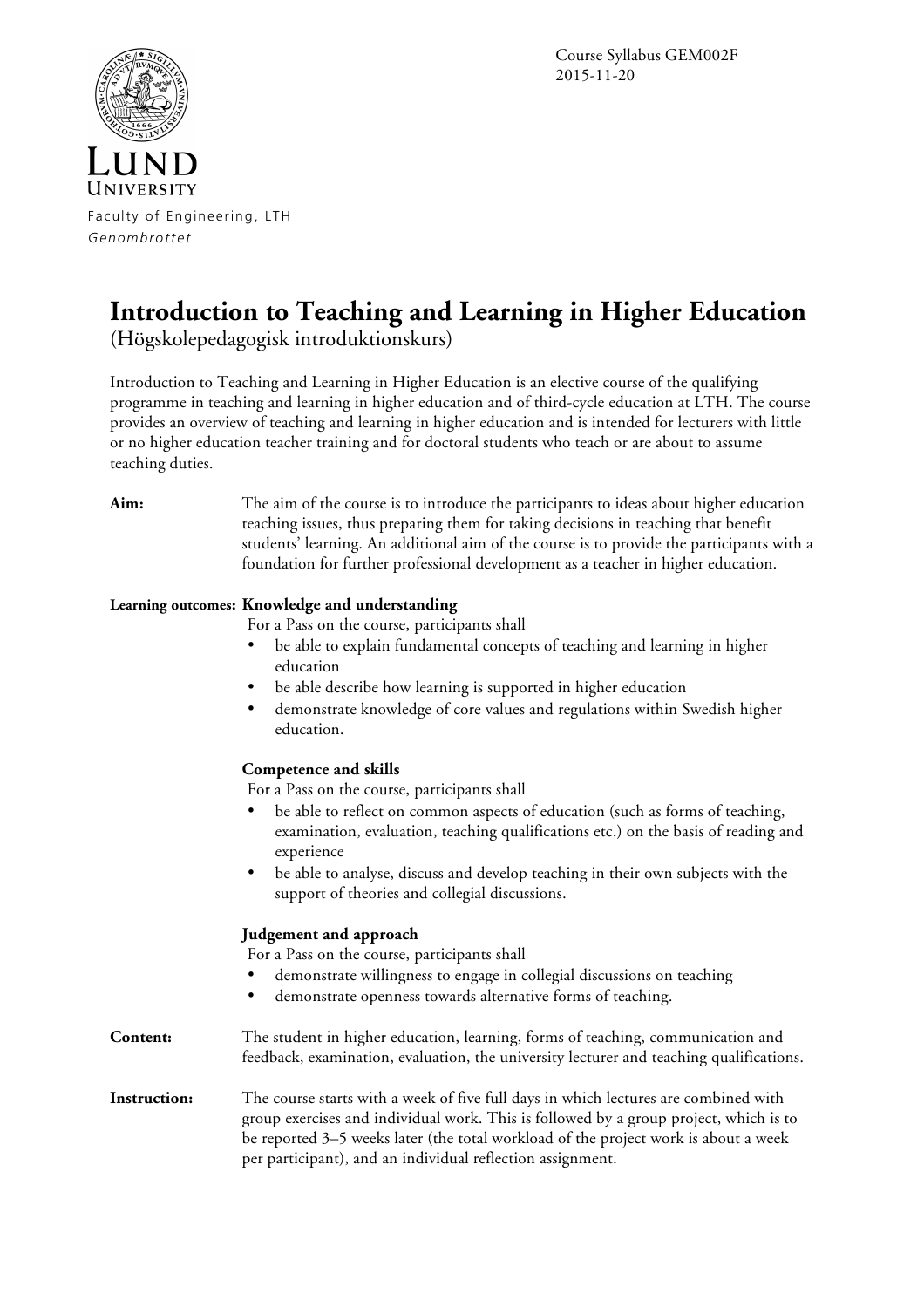Course Syllabus GEM002F 2015-11-20



Faculty of Engineering, LTH *Genombrottet*

## **Introduction to Teaching and Learning in Higher Education**

(Högskolepedagogisk introduktionskurs)

Introduction to Teaching and Learning in Higher Education is an elective course of the qualifying programme in teaching and learning in higher education and of third-cycle education at LTH. The course provides an overview of teaching and learning in higher education and is intended for lecturers with little or no higher education teacher training and for doctoral students who teach or are about to assume teaching duties.

**Aim:** The aim of the course is to introduce the participants to ideas about higher education teaching issues, thus preparing them for taking decisions in teaching that benefit students' learning. An additional aim of the course is to provide the participants with a foundation for further professional development as a teacher in higher education.

## **Learning outcomes: Knowledge and understanding**

For a Pass on the course, participants shall

- be able to explain fundamental concepts of teaching and learning in higher education
- be able describe how learning is supported in higher education
- demonstrate knowledge of core values and regulations within Swedish higher education.

## **Competence and skills**

For a Pass on the course, participants shall

- be able to reflect on common aspects of education (such as forms of teaching, examination, evaluation, teaching qualifications etc.) on the basis of reading and experience
- be able to analyse, discuss and develop teaching in their own subjects with the support of theories and collegial discussions.

## **Judgement and approach**

For a Pass on the course, participants shall

- demonstrate willingness to engage in collegial discussions on teaching
- demonstrate openness towards alternative forms of teaching.

**Content:** The student in higher education, learning, forms of teaching, communication and feedback, examination, evaluation, the university lecturer and teaching qualifications.

**Instruction:** The course starts with a week of five full days in which lectures are combined with group exercises and individual work. This is followed by a group project, which is to be reported 3–5 weeks later (the total workload of the project work is about a week per participant), and an individual reflection assignment.